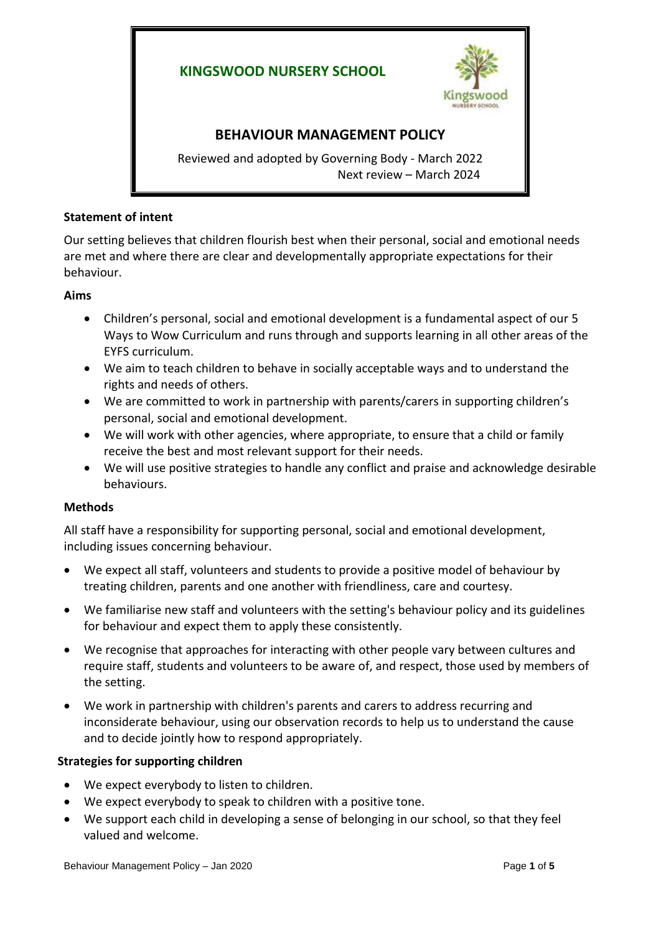# **KINGSWOOD NURSERY SCHOOL**



# **BEHAVIOUR MANAGEMENT POLICY**

Reviewed and adopted by Governing Body - March 2022 Next review – March 2024

#### **Statement of intent**

Our setting believes that children flourish best when their personal, social and emotional needs are met and where there are clear and developmentally appropriate expectations for their behaviour.

#### **Aims**

- Children's personal, social and emotional development is a fundamental aspect of our 5 Ways to Wow Curriculum and runs through and supports learning in all other areas of the EYFS curriculum.
- We aim to teach children to behave in socially acceptable ways and to understand the rights and needs of others.
- We are committed to work in partnership with parents/carers in supporting children's personal, social and emotional development.
- We will work with other agencies, where appropriate, to ensure that a child or family receive the best and most relevant support for their needs.
- We will use positive strategies to handle any conflict and praise and acknowledge desirable behaviours.

### **Methods**

All staff have a responsibility for supporting personal, social and emotional development, including issues concerning behaviour.

- We expect all staff, volunteers and students to provide a positive model of behaviour by treating children, parents and one another with friendliness, care and courtesy.
- We familiarise new staff and volunteers with the setting's behaviour policy and its guidelines for behaviour and expect them to apply these consistently.
- We recognise that approaches for interacting with other people vary between cultures and require staff, students and volunteers to be aware of, and respect, those used by members of the setting.
- We work in partnership with children's parents and carers to address recurring and inconsiderate behaviour, using our observation records to help us to understand the cause and to decide jointly how to respond appropriately.

### **Strategies for supporting children**

- We expect everybody to listen to children.
- We expect everybody to speak to children with a positive tone.
- We support each child in developing a sense of belonging in our school, so that they feel valued and welcome.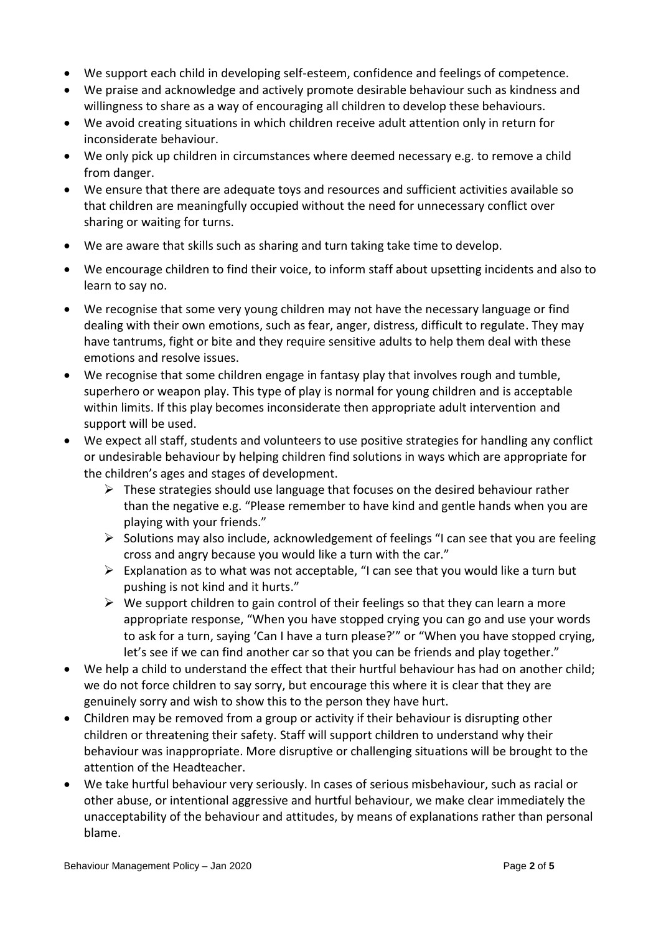- We support each child in developing self-esteem, confidence and feelings of competence.
- We praise and acknowledge and actively promote desirable behaviour such as kindness and willingness to share as a way of encouraging all children to develop these behaviours.
- We avoid creating situations in which children receive adult attention only in return for inconsiderate behaviour.
- We only pick up children in circumstances where deemed necessary e.g. to remove a child from danger.
- We ensure that there are adequate toys and resources and sufficient activities available so that children are meaningfully occupied without the need for unnecessary conflict over sharing or waiting for turns.
- We are aware that skills such as sharing and turn taking take time to develop.
- We encourage children to find their voice, to inform staff about upsetting incidents and also to learn to say no.
- We recognise that some very young children may not have the necessary language or find dealing with their own emotions, such as fear, anger, distress, difficult to regulate. They may have tantrums, fight or bite and they require sensitive adults to help them deal with these emotions and resolve issues.
- We recognise that some children engage in fantasy play that involves rough and tumble, superhero or weapon play. This type of play is normal for young children and is acceptable within limits. If this play becomes inconsiderate then appropriate adult intervention and support will be used.
- We expect all staff, students and volunteers to use positive strategies for handling any conflict or undesirable behaviour by helping children find solutions in ways which are appropriate for the children's ages and stages of development.
	- $\triangleright$  These strategies should use language that focuses on the desired behaviour rather than the negative e.g. "Please remember to have kind and gentle hands when you are playing with your friends."
	- $\triangleright$  Solutions may also include, acknowledgement of feelings "I can see that you are feeling cross and angry because you would like a turn with the car."
	- $\triangleright$  Explanation as to what was not acceptable, "I can see that you would like a turn but pushing is not kind and it hurts."
	- $\triangleright$  We support children to gain control of their feelings so that they can learn a more appropriate response, "When you have stopped crying you can go and use your words to ask for a turn, saying 'Can I have a turn please?'" or "When you have stopped crying, let's see if we can find another car so that you can be friends and play together."
- We help a child to understand the effect that their hurtful behaviour has had on another child; we do not force children to say sorry, but encourage this where it is clear that they are genuinely sorry and wish to show this to the person they have hurt.
- Children may be removed from a group or activity if their behaviour is disrupting other children or threatening their safety. Staff will support children to understand why their behaviour was inappropriate. More disruptive or challenging situations will be brought to the attention of the Headteacher.
- We take hurtful behaviour very seriously. In cases of serious misbehaviour, such as racial or other abuse, or intentional aggressive and hurtful behaviour, we make clear immediately the unacceptability of the behaviour and attitudes, by means of explanations rather than personal blame.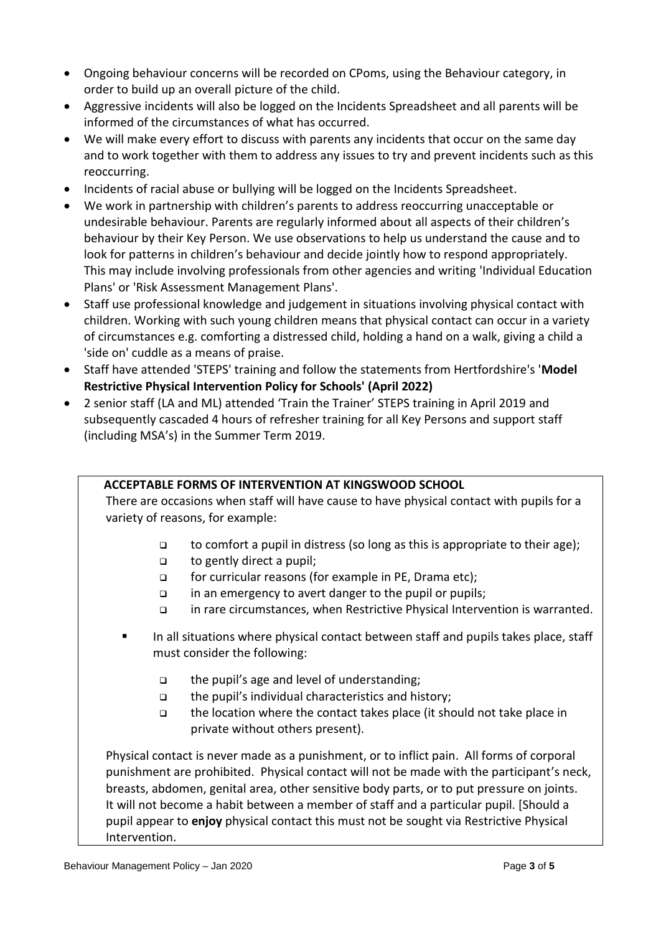- Ongoing behaviour concerns will be recorded on CPoms, using the Behaviour category, in order to build up an overall picture of the child.
- Aggressive incidents will also be logged on the Incidents Spreadsheet and all parents will be informed of the circumstances of what has occurred.
- We will make every effort to discuss with parents any incidents that occur on the same day and to work together with them to address any issues to try and prevent incidents such as this reoccurring.
- Incidents of racial abuse or bullying will be logged on the Incidents Spreadsheet.
- We work in partnership with children's parents to address reoccurring unacceptable or undesirable behaviour. Parents are regularly informed about all aspects of their children's behaviour by their Key Person. We use observations to help us understand the cause and to look for patterns in children's behaviour and decide jointly how to respond appropriately. This may include involving professionals from other agencies and writing 'Individual Education Plans' or 'Risk Assessment Management Plans'.
- Staff use professional knowledge and judgement in situations involving physical contact with children. Working with such young children means that physical contact can occur in a variety of circumstances e.g. comforting a distressed child, holding a hand on a walk, giving a child a 'side on' cuddle as a means of praise.
- Staff have attended 'STEPS' training and follow the statements from Hertfordshire's '**Model Restrictive Physical Intervention Policy for Schools' (April 2022)**
- 2 senior staff (LA and ML) attended 'Train the Trainer' STEPS training in April 2019 and subsequently cascaded 4 hours of refresher training for all Key Persons and support staff (including MSA's) in the Summer Term 2019.

## **ACCEPTABLE FORMS OF INTERVENTION AT KINGSWOOD SCHOOL**

There are occasions when staff will have cause to have physical contact with pupils for a variety of reasons, for example:

- $\Box$  to comfort a pupil in distress (so long as this is appropriate to their age);
- to gently direct a pupil;
- for curricular reasons (for example in PE, Drama etc);
- in an emergency to avert danger to the pupil or pupils;
- in rare circumstances, when Restrictive Physical Intervention is warranted.
- In all situations where physical contact between staff and pupils takes place, staff must consider the following:
	- □ the pupil's age and level of understanding;
	- the pupil's individual characteristics and history;
	- $\Box$  the location where the contact takes place (it should not take place in private without others present).

Physical contact is never made as a punishment, or to inflict pain. All forms of corporal punishment are prohibited. Physical contact will not be made with the participant's neck, breasts, abdomen, genital area, other sensitive body parts, or to put pressure on joints. It will not become a habit between a member of staff and a particular pupil. [Should a pupil appear to **enjoy** physical contact this must not be sought via Restrictive Physical Intervention.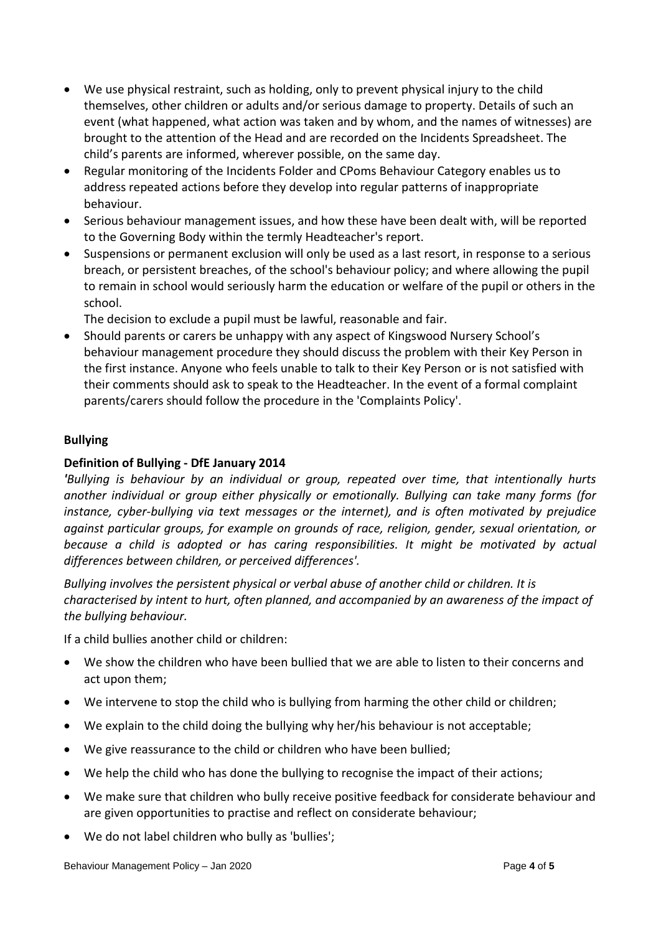- We use physical restraint, such as holding, only to prevent physical injury to the child themselves, other children or adults and/or serious damage to property. Details of such an event (what happened, what action was taken and by whom, and the names of witnesses) are brought to the attention of the Head and are recorded on the Incidents Spreadsheet. The child's parents are informed, wherever possible, on the same day.
- Regular monitoring of the Incidents Folder and CPoms Behaviour Category enables us to address repeated actions before they develop into regular patterns of inappropriate behaviour.
- Serious behaviour management issues, and how these have been dealt with, will be reported to the Governing Body within the termly Headteacher's report.
- Suspensions or permanent exclusion will only be used as a last resort, in response to a serious breach, or persistent breaches, of the school's behaviour policy; and where allowing the pupil to remain in school would seriously harm the education or welfare of the pupil or others in the school.

The decision to exclude a pupil must be lawful, reasonable and fair.

 Should parents or carers be unhappy with any aspect of Kingswood Nursery School's behaviour management procedure they should discuss the problem with their Key Person in the first instance. Anyone who feels unable to talk to their Key Person or is not satisfied with their comments should ask to speak to the Headteacher. In the event of a formal complaint parents/carers should follow the procedure in the 'Complaints Policy'.

### **Bullying**

#### **Definition of Bullying - DfE January 2014**

*'Bullying is behaviour by an individual or group, repeated over time, that intentionally hurts another individual or group either physically or emotionally. Bullying can take many forms (for instance, cyber-bullying via text messages or the internet), and is often motivated by prejudice against particular groups, for example on grounds of race, religion, gender, sexual orientation, or because a child is adopted or has caring responsibilities. It might be motivated by actual differences between children, or perceived differences'.*

*Bullying involves the persistent physical or verbal abuse of another child or children. It is characterised by intent to hurt, often planned, and accompanied by an awareness of the impact of the bullying behaviour.* 

If a child bullies another child or children:

- We show the children who have been bullied that we are able to listen to their concerns and act upon them;
- We intervene to stop the child who is bullying from harming the other child or children;
- We explain to the child doing the bullying why her/his behaviour is not acceptable;
- We give reassurance to the child or children who have been bullied;
- We help the child who has done the bullying to recognise the impact of their actions;
- We make sure that children who bully receive positive feedback for considerate behaviour and are given opportunities to practise and reflect on considerate behaviour;
- We do not label children who bully as 'bullies';